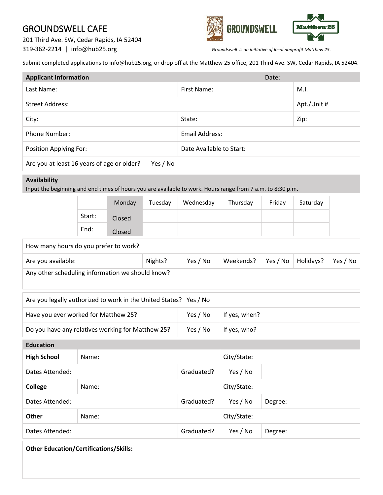## GROUNDSWELL CAFE

201 Third Ave. SW, Cedar Rapids, IA 52404 319-362-2214 | info@hub25.org *Groundswell is an initiative of local nonprofit Matthew 25.*





Submit completed applications to info@hub25.org, or drop off at the Matthew 25 office, 201 Third Ave. SW, Cedar Rapids, IA 52404.

| <b>Applicant Information</b>                                                                                                      | Date:  |        |                          |                       |               |          |             |          |  |  |
|-----------------------------------------------------------------------------------------------------------------------------------|--------|--------|--------------------------|-----------------------|---------------|----------|-------------|----------|--|--|
| Last Name:                                                                                                                        |        |        | First Name:              |                       |               | M.I.     |             |          |  |  |
| <b>Street Address:</b>                                                                                                            |        |        |                          |                       |               |          | Apt./Unit # |          |  |  |
| City:                                                                                                                             |        |        |                          | State:                |               |          | Zip:        |          |  |  |
| Phone Number:                                                                                                                     |        |        |                          | <b>Email Address:</b> |               |          |             |          |  |  |
| Position Applying For:                                                                                                            |        |        | Date Available to Start: |                       |               |          |             |          |  |  |
| Yes / No<br>Are you at least 16 years of age or older?                                                                            |        |        |                          |                       |               |          |             |          |  |  |
| <b>Availability</b><br>Input the beginning and end times of hours you are available to work. Hours range from 7 a.m. to 8:30 p.m. |        |        |                          |                       |               |          |             |          |  |  |
|                                                                                                                                   |        | Monday | Tuesday                  | Wednesday             | Thursday      | Friday   | Saturday    |          |  |  |
|                                                                                                                                   | Start: | Closed |                          |                       |               |          |             |          |  |  |
|                                                                                                                                   | End:   | Closed |                          |                       |               |          |             |          |  |  |
| How many hours do you prefer to work?                                                                                             |        |        |                          |                       |               |          |             |          |  |  |
| Are you available:                                                                                                                |        |        | Nights?                  | Yes / No              | Weekends?     | Yes / No | Holidays?   | Yes / No |  |  |
| Any other scheduling information we should know?                                                                                  |        |        |                          |                       |               |          |             |          |  |  |
| Are you legally authorized to work in the United States? Yes / No                                                                 |        |        |                          |                       |               |          |             |          |  |  |
| Have you ever worked for Matthew 25?                                                                                              |        |        |                          | Yes / No              | If yes, when? |          |             |          |  |  |
| Do you have any relatives working for Matthew 25?                                                                                 |        |        | Yes / No                 | If yes, who?          |               |          |             |          |  |  |
| <b>Education</b>                                                                                                                  |        |        |                          |                       |               |          |             |          |  |  |
| <b>High School</b>                                                                                                                | Name:  |        |                          |                       | City/State:   |          |             |          |  |  |
| Dates Attended:                                                                                                                   |        |        |                          | Graduated?            | Yes / No      |          |             |          |  |  |
| <b>College</b>                                                                                                                    | Name:  |        |                          |                       | City/State:   |          |             |          |  |  |
| Dates Attended:                                                                                                                   |        |        |                          | Graduated?            | Yes / No      | Degree:  |             |          |  |  |
| Other                                                                                                                             | Name:  |        |                          |                       | City/State:   |          |             |          |  |  |
| Dates Attended:                                                                                                                   |        |        |                          | Graduated?            | Yes / No      | Degree:  |             |          |  |  |

**Other Education/Certifications/Skills:**